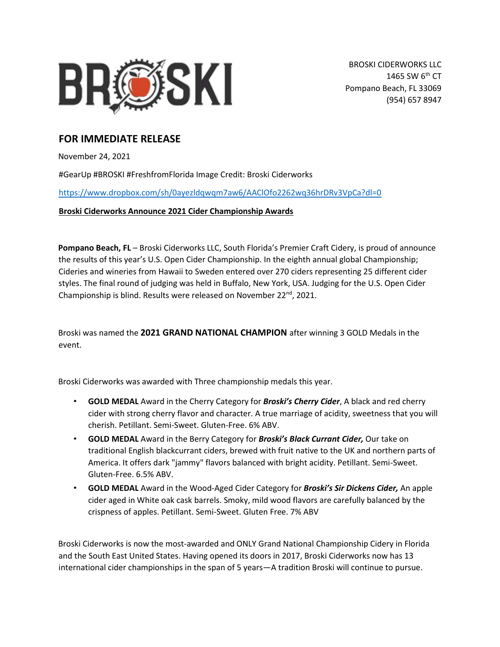

## **FOR IMMEDIATE RELEASE**

November 24, 2021

#GearUp #BROSKI #FreshfromFlorida Image Credit: Broski Ciderworks

<https://www.dropbox.com/sh/0ayezldqwqm7aw6/AAClOfo2262wq36hrDRv3VpCa?dl=0>

**Broski Ciderworks Announce 2021 Cider Championship Awards**

**Pompano Beach, FL** – Broski Ciderworks LLC, South Florida's Premier Craft Cidery, is proud of announce the results of this year's U.S. Open Cider Championship. In the eighth annual global Championship; Cideries and wineries from Hawaii to Sweden entered over 270 ciders representing 25 different cider styles. The final round of judging was held in Buffalo, New York, USA. Judging for the U.S. Open Cider Championship is blind. Results were released on November 22<sup>nd</sup>, 2021.

Broski was named the **2021 GRAND NATIONAL CHAMPION** after winning 3 GOLD Medals in the event.

Broski Ciderworks was awarded with Three championship medals this year.

- **GOLD MEDAL** Award in the Cherry Category for *Broski's Cherry Cider*, A black and red cherry cider with strong cherry flavor and character. A true marriage of acidity, sweetness that you will cherish. Petillant. Semi-Sweet. Gluten-Free. 6% ABV.
- **GOLD MEDAL** Award in the Berry Category for *Broski's Black Currant Cider,* Our take on traditional English blackcurrant ciders, brewed with fruit native to the UK and northern parts of America. It offers dark "jammy" flavors balanced with bright acidity. Petillant. Semi-Sweet. Gluten-Free. 6.5% ABV.
- **GOLD MEDAL** Award in the Wood-Aged Cider Category for *Broski's Sir Dickens Cider,* An apple cider aged in White oak cask barrels. Smoky, mild wood flavors are carefully balanced by the crispness of apples. Petillant. Semi-Sweet. Gluten Free. 7% ABV

Broski Ciderworks is now the most-awarded and ONLY Grand National Championship Cidery in Florida and the South East United States. Having opened its doors in 2017, Broski Ciderworks now has 13 international cider championships in the span of 5 years—A tradition Broski will continue to pursue.